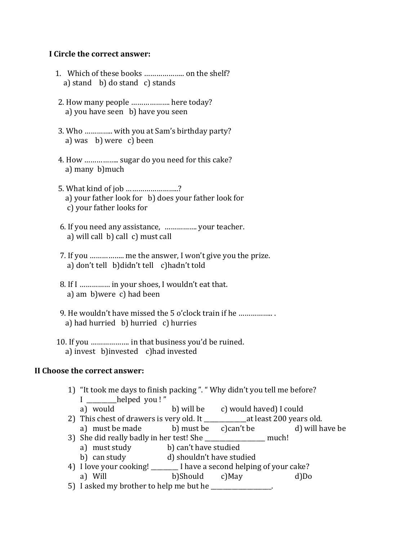## **I Circle the correct answer:**

- 1. Which of these books ……………….. on the shelf? a) stand b) do stand c) stands
- 2. How many people ………………. here today? a) you have seen b) have you seen
- 3. Who ………….. with you at Sam's birthday party? a) was b) were c) been
- 4. How …………….. sugar do you need for this cake? a) many b)much
- 5. What kind of job ……………………..? a) your father look for b) does your father look for c) your father looks for
- 6. If you need any assistance, ……………. your teacher. a) will call b) call c) must call
- 7. If you …………….. me the answer, I won't give you the prize. a) don't tell b)didn't tell c)hadn't told
- 8. If I …………… in your shoes, I wouldn't eat that. a) am b)were c) had been
- 9. He wouldn't have missed the 5 o'clock train if he …………….. . a) had hurried b) hurried c) hurries
- 10. If you ………………. in that business you'd be ruined. a) invest b)invested c)had invested

## **II Choose the correct answer:**

- 1) "It took me days to finish packing ". " Why didn't you tell me before? I \_\_\_\_\_\_\_\_\_\_helped you ! "
	- a) would b) will be c) would haved) I could
- 2) This chest of drawers is very old. It at least 200 years old.
- a) must be made b) must be c)can't be d) will have be 3) She did really badly in her test! She \_\_\_\_\_\_\_\_\_\_\_\_\_\_\_\_\_\_\_\_ much!
	- a) must study b) can't have studied
	- b) can study d) shouldn't have studied
- 4) I love your cooking! \_\_\_\_\_\_\_\_\_ I have a second helping of your cake?
- a) Will b)Should c)May d)Do 5) I asked my brother to help me but he \_\_\_\_\_\_\_\_\_\_\_\_\_\_\_\_.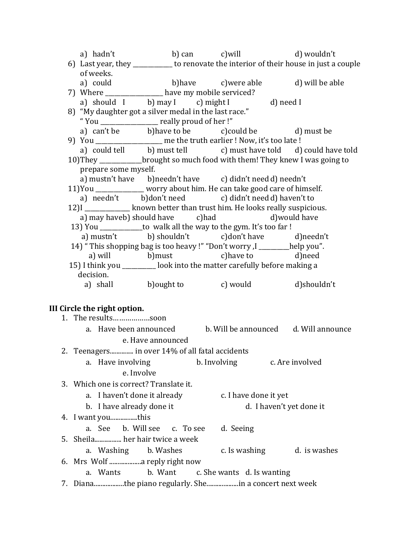|                                                                                         |                   | a) hadn't b) can c) will b b wouldn't                        |                                                                 |
|-----------------------------------------------------------------------------------------|-------------------|--------------------------------------------------------------|-----------------------------------------------------------------|
| 6) Last year, they ___________ to renovate the interior of their house in just a couple |                   |                                                              |                                                                 |
| of weeks.                                                                               |                   |                                                              |                                                                 |
|                                                                                         |                   | a) could b) have c) were able d) will be able                |                                                                 |
| 7) Where _______________ have my mobile serviced?                                       |                   |                                                              |                                                                 |
|                                                                                         |                   | a) should I b) may I c) might I d) need I                    |                                                                 |
| 8) "My daughter got a silver medal in the last race."                                   |                   |                                                              |                                                                 |
| "You _________________ really proud of her!"                                            |                   |                                                              |                                                                 |
|                                                                                         |                   | a) can't be b) have to be c) could be d) must be             |                                                                 |
| 9) You _______________ me the truth earlier ! Now, it's too late !                      |                   |                                                              |                                                                 |
|                                                                                         |                   |                                                              | a) could tell b) must tell c) must have told d) could have told |
| 10) They _____________brought so much food with them! They knew I was going to          |                   |                                                              |                                                                 |
| prepare some myself.                                                                    |                   |                                                              |                                                                 |
|                                                                                         |                   | a) mustn't have b)needn't have c) didn't need d) needn't     |                                                                 |
| 11) You _____________ worry about him. He can take good care of himself.                |                   |                                                              |                                                                 |
|                                                                                         |                   | a) needn't b)don't need c) didn't need d) haven't to         |                                                                 |
| 12) I _______________ known better than trust him. He looks really suspicious.          |                   |                                                              |                                                                 |
|                                                                                         |                   | a) may haveb) should have c) had by d) would have            |                                                                 |
| 13) You ______________to walk all the way to the gym. It's too far !                    |                   |                                                              |                                                                 |
|                                                                                         |                   | a) mustn't b) shouldn't c)don't have d)needn't               |                                                                 |
| 14) "This shopping bag is too heavy !" "Don't worry, I _______help you".                |                   |                                                              |                                                                 |
|                                                                                         |                   | a) will b) must c) have to d) need                           |                                                                 |
| 15) I think you _________ look into the matter carefully before making a                |                   |                                                              |                                                                 |
| decision.                                                                               |                   |                                                              |                                                                 |
|                                                                                         |                   | a) shall b) ought to c) would d) shouldn't                   |                                                                 |
|                                                                                         |                   |                                                              |                                                                 |
| III Circle the right option.                                                            |                   |                                                              |                                                                 |
| 1. The resultssoon                                                                      |                   |                                                              |                                                                 |
|                                                                                         |                   | a. Have been announced b. Will be announced d. Will announce |                                                                 |
|                                                                                         | e. Have announced |                                                              |                                                                 |
|                                                                                         |                   |                                                              |                                                                 |
| 2. Teenagers in over 14% of all fatal accidents                                         |                   |                                                              |                                                                 |
| a. Have involving                                                                       |                   | b. Involving                                                 | c. Are involved                                                 |
| e. Involve                                                                              |                   |                                                              |                                                                 |
| 3. Which one is correct? Translate it.                                                  |                   |                                                              |                                                                 |
| a. I haven't done it already                                                            |                   | c. I have done it yet                                        |                                                                 |
| b. I have already done it                                                               |                   |                                                              | d. I haven't yet done it                                        |
|                                                                                         |                   |                                                              |                                                                 |
| a. See b. Will see                                                                      | c. To see         |                                                              |                                                                 |
|                                                                                         |                   | d. Seeing                                                    |                                                                 |
| 5. Sheila her hair twice a week                                                         |                   |                                                              |                                                                 |
| a. Washing                                                                              | b. Washes         | c. Is washing                                                | d. is washes                                                    |
| Mrs Wolf  reply right now<br>6.                                                         |                   |                                                              |                                                                 |
| a. Wants                                                                                | b. Want           | c. She wants d. Is wanting                                   |                                                                 |
| 7. Dianathe piano regularly. Shein a concert next week                                  |                   |                                                              |                                                                 |